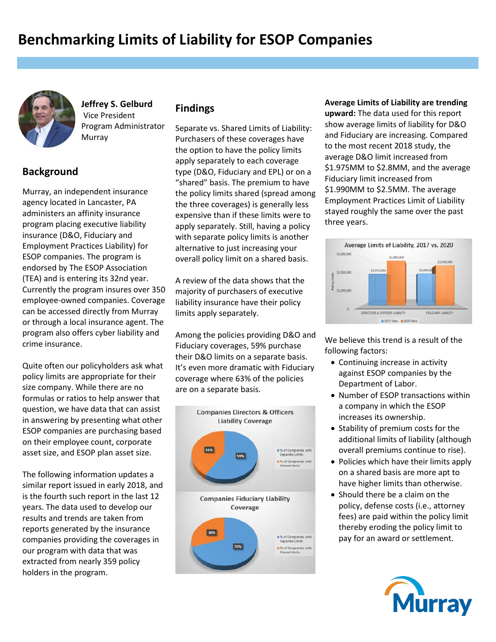

**Jeffrey S. Gelburd** Vice President Program Administrator Murray

## **Background**

Murray, an independent insurance agency located in Lancaster, PA administers an affinity insurance program placing executive liability insurance (D&O, Fiduciary and Employment Practices Liability) for ESOP companies. The program is endorsed by The ESOP Association (TEA) and is entering its 32nd year. Currently the program insures over 350 employee-owned companies. Coverage can be accessed directly from Murray or through a local insurance agent. The program also offers cyber liability and crime insurance.

Quite often our policyholders ask what policy limits are appropriate for their size company. While there are no formulas or ratios to help answer that question, we have data that can assist in answering by presenting what other ESOP companies are purchasing based on their employee count, corporate asset size, and ESOP plan asset size.

The following information updates a similar report issued in early 2018, and is the fourth such report in the last 12 years. The data used to develop our results and trends are taken from reports generated by the insurance companies providing the coverages in our program with data that was extracted from nearly 359 policy holders in the program.

## **Findings**

Separate vs. Shared Limits of Liability: Purchasers of these coverages have the option to have the policy limits apply separately to each coverage type (D&O, Fiduciary and EPL) or on a "shared" basis. The premium to have the policy limits shared (spread among the three coverages) is generally less expensive than if these limits were to apply separately. Still, having a policy with separate policy limits is another alternative to just increasing your overall policy limit on a shared basis.

A review of the data shows that the majority of purchasers of executive liability insurance have their policy limits apply separately.

Among the policies providing D&O and Fiduciary coverages, 59% purchase their D&O limits on a separate basis. It's even more dramatic with Fiduciary coverage where 63% of the policies are on a separate basis.



**Average Limits of Liability are trending upward:** The data used for this report show average limits of liability for D&O and Fiduciary are increasing. Compared to the most recent 2018 study, the average D&O limit increased from \$1.975MM to \$2.8MM, and the average Fiduciary limit increased from \$1.990MM to \$2.5MM. The average Employment Practices Limit of Liability stayed roughly the same over the past three years.



We believe this trend is a result of the following factors:

- Continuing increase in activity against ESOP companies by the Department of Labor.
- Number of ESOP transactions within a company in which the ESOP increases its ownership.
- Stability of premium costs for the additional limits of liability (although overall premiums continue to rise).
- Policies which have their limits apply on a shared basis are more apt to have higher limits than otherwise.
- Should there be a claim on the policy, defense costs (i.e., attorney fees) are paid within the policy limit thereby eroding the policy limit to pay for an award or settlement.